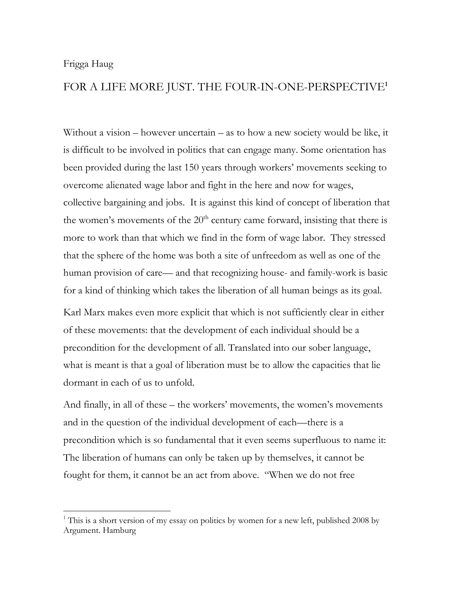## Frigga Haug

l.

# FOR A LIFE MORE JUST. THE FOUR-IN-ONE-PERSPECTIVE<sup>1</sup>

Without a vision – however uncertain – as to how a new society would be like, it is difficult to be involved in politics that can engage many. Some orientation has been provided during the last 150 years through workers' movements seeking to overcome alienated wage labor and fight in the here and now for wages, collective bargaining and jobs. It is against this kind of concept of liberation that the women's movements of the  $20<sup>th</sup>$  century came forward, insisting that there is more to work than that which we find in the form of wage labor. They stressed that the sphere of the home was both a site of unfreedom as well as one of the human provision of care— and that recognizing house- and family-work is basic for a kind of thinking which takes the liberation of all human beings as its goal.

Karl Marx makes even more explicit that which is not sufficiently clear in either of these movements: that the development of each individual should be a precondition for the development of all. Translated into our sober language, what is meant is that a goal of liberation must be to allow the capacities that lie dormant in each of us to unfold.

And finally, in all of these – the workers' movements, the women's movements and in the question of the individual development of each—there is a precondition which is so fundamental that it even seems superfluous to name it: The liberation of humans can only be taken up by themselves, it cannot be fought for them, it cannot be an act from above. "When we do not free

<sup>&</sup>lt;sup>1</sup> This is a short version of my essay on politics by women for a new left, published 2008 by Argument. Hamburg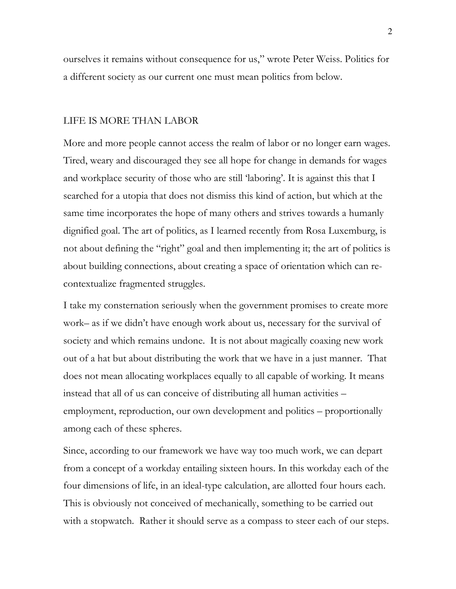ourselves it remains without consequence for us," wrote Peter Weiss. Politics for a different society as our current one must mean politics from below.

#### LIFE IS MORE THAN LABOR

More and more people cannot access the realm of labor or no longer earn wages. Tired, weary and discouraged they see all hope for change in demands for wages and workplace security of those who are still 'laboring'. It is against this that I searched for a utopia that does not dismiss this kind of action, but which at the same time incorporates the hope of many others and strives towards a humanly dignified goal. The art of politics, as I learned recently from Rosa Luxemburg, is not about defining the "right" goal and then implementing it; the art of politics is about building connections, about creating a space of orientation which can recontextualize fragmented struggles.

I take my consternation seriously when the government promises to create more work– as if we didn't have enough work about us, necessary for the survival of society and which remains undone. It is not about magically coaxing new work out of a hat but about distributing the work that we have in a just manner. That does not mean allocating workplaces equally to all capable of working. It means instead that all of us can conceive of distributing all human activities – employment, reproduction, our own development and politics – proportionally among each of these spheres.

Since, according to our framework we have way too much work, we can depart from a concept of a workday entailing sixteen hours. In this workday each of the four dimensions of life, in an ideal-type calculation, are allotted four hours each. This is obviously not conceived of mechanically, something to be carried out with a stopwatch. Rather it should serve as a compass to steer each of our steps.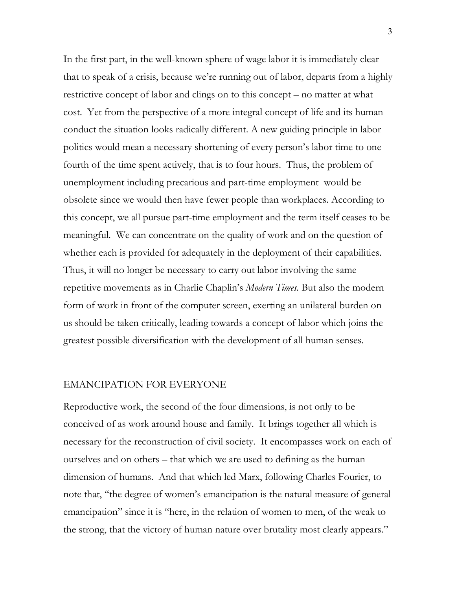In the first part, in the well-known sphere of wage labor it is immediately clear that to speak of a crisis, because we're running out of labor, departs from a highly restrictive concept of labor and clings on to this concept – no matter at what cost. Yet from the perspective of a more integral concept of life and its human conduct the situation looks radically different. A new guiding principle in labor politics would mean a necessary shortening of every person's labor time to one fourth of the time spent actively, that is to four hours. Thus, the problem of unemployment including precarious and part-time employment would be obsolete since we would then have fewer people than workplaces. According to this concept, we all pursue part-time employment and the term itself ceases to be meaningful. We can concentrate on the quality of work and on the question of whether each is provided for adequately in the deployment of their capabilities. Thus, it will no longer be necessary to carry out labor involving the same repetitive movements as in Charlie Chaplin's *Modern Times*. But also the modern form of work in front of the computer screen, exerting an unilateral burden on us should be taken critically, leading towards a concept of labor which joins the greatest possible diversification with the development of all human senses.

## EMANCIPATION FOR EVERYONE

Reproductive work, the second of the four dimensions, is not only to be conceived of as work around house and family. It brings together all which is necessary for the reconstruction of civil society. It encompasses work on each of ourselves and on others – that which we are used to defining as the human dimension of humans. And that which led Marx, following Charles Fourier, to note that, "the degree of women's emancipation is the natural measure of general emancipation" since it is "here, in the relation of women to men, of the weak to the strong, that the victory of human nature over brutality most clearly appears."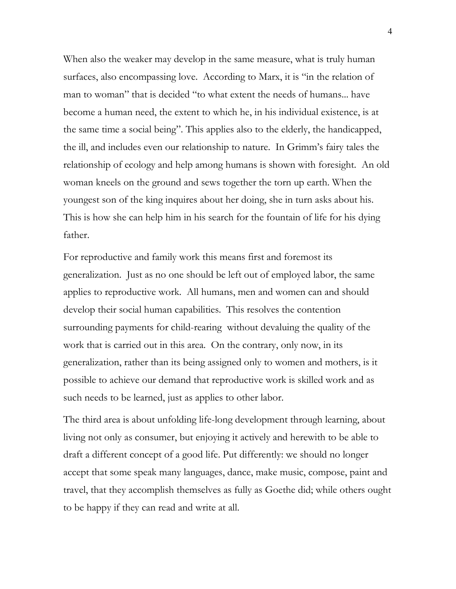When also the weaker may develop in the same measure, what is truly human surfaces, also encompassing love. According to Marx, it is "in the relation of man to woman" that is decided "to what extent the needs of humans... have become a human need, the extent to which he, in his individual existence, is at the same time a social being". This applies also to the elderly, the handicapped, the ill, and includes even our relationship to nature. In Grimm's fairy tales the relationship of ecology and help among humans is shown with foresight. An old woman kneels on the ground and sews together the torn up earth. When the youngest son of the king inquires about her doing, she in turn asks about his. This is how she can help him in his search for the fountain of life for his dying father.

For reproductive and family work this means first and foremost its generalization. Just as no one should be left out of employed labor, the same applies to reproductive work. All humans, men and women can and should develop their social human capabilities. This resolves the contention surrounding payments for child-rearing without devaluing the quality of the work that is carried out in this area. On the contrary, only now, in its generalization, rather than its being assigned only to women and mothers, is it possible to achieve our demand that reproductive work is skilled work and as such needs to be learned, just as applies to other labor.

The third area is about unfolding life-long development through learning, about living not only as consumer, but enjoying it actively and herewith to be able to draft a different concept of a good life. Put differently: we should no longer accept that some speak many languages, dance, make music, compose, paint and travel, that they accomplish themselves as fully as Goethe did; while others ought to be happy if they can read and write at all.

4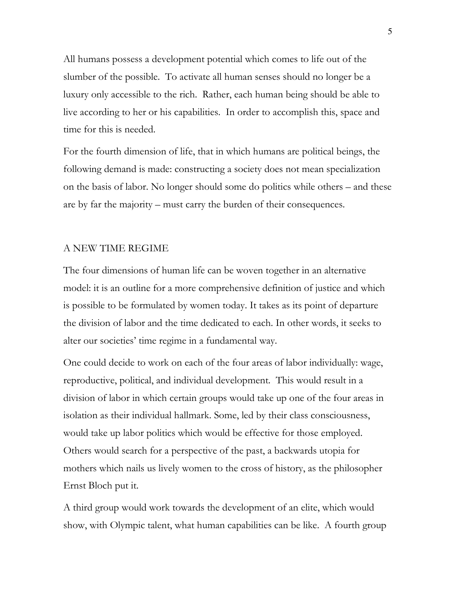All humans possess a development potential which comes to life out of the slumber of the possible. To activate all human senses should no longer be a luxury only accessible to the rich. Rather, each human being should be able to live according to her or his capabilities. In order to accomplish this, space and time for this is needed.

For the fourth dimension of life, that in which humans are political beings, the following demand is made: constructing a society does not mean specialization on the basis of labor. No longer should some do politics while others – and these are by far the majority – must carry the burden of their consequences.

### A NEW TIME REGIME

The four dimensions of human life can be woven together in an alternative model: it is an outline for a more comprehensive definition of justice and which is possible to be formulated by women today. It takes as its point of departure the division of labor and the time dedicated to each. In other words, it seeks to alter our societies' time regime in a fundamental way.

One could decide to work on each of the four areas of labor individually: wage, reproductive, political, and individual development. This would result in a division of labor in which certain groups would take up one of the four areas in isolation as their individual hallmark. Some, led by their class consciousness, would take up labor politics which would be effective for those employed. Others would search for a perspective of the past, a backwards utopia for mothers which nails us lively women to the cross of history, as the philosopher Ernst Bloch put it.

A third group would work towards the development of an elite, which would show, with Olympic talent, what human capabilities can be like. A fourth group